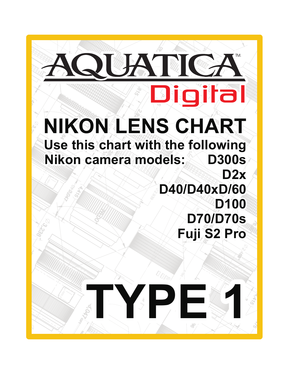$\overline{a}$ 8.190  $\lambda$ r 1,50 1<br>7∎ ,360 **D40/D40xD/60 Nikon camera models: D300s** D100 2,835  $\frac{6}{2}$  5.290 3.835 NODAL **NIKON LENS CHART**  029.9 **Digital** 959 POINT **Use this chart with the following D2x D70/D70s Fuji S2 Pro**

THAT MICE

TM.

Sol.5.

**TELESCOPE 1999**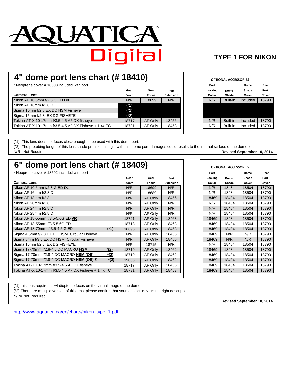

### **TYPE 1 FOR NIKON**

## **4" dome port lens chart (# 18410)**

 $*$  Neoprene cover # 18508 included with port

|                                                       | Gear   | Gear         | Port             | Locking | Dome     | Shade    | Port  |
|-------------------------------------------------------|--------|--------------|------------------|---------|----------|----------|-------|
| <b>Camera Lens</b>                                    | Zoom   | <b>Focus</b> | <b>Extension</b> | Collar  | Shade    | Cover    | Cover |
| Nikon AF 10,5mm f/2,8 G ED DX                         | N/R    | 18699        | N/R              | N/R     | Built-in | Included | 18790 |
| INikon AF 16mm f/2.8 D                                | $(*1)$ |              |                  |         |          |          |       |
| Sigma 10mm f/2.8 EX DC HSM Fisheye                    | $(*2)$ |              |                  |         |          |          |       |
| Sigma 15mm f/2.8 EX DG FISHEYE                        | (*2)   |              |                  |         |          |          |       |
| Tokina AT-X 10-17mm f/3.5-4.5 AF DX fisheye           | 18717  | AF Only      | 18456            | N/R     | Built-in | Included | 18790 |
| Tokina AT-X 10-17mm f/3.5-4.5 AF DX Fisheye + 1.4x TC | 18731  | AF Only      | 18453            | N/R     | Built-in | Included | 18790 |
|                                                       |        |              |                  |         |          |          |       |

| 8410)  |              |                  |
|--------|--------------|------------------|
|        |              |                  |
| Gear   | Gear         | Port             |
| Zoom   | <b>Focus</b> | <b>Extension</b> |
| N/R    | 18699        | N/R              |
| $(*1)$ |              |                  |
| $(*2)$ |              |                  |
| $(*2)$ |              |                  |
| 8717   | AF Only      | 18456            |
| 8731   | AF Only      | 18453            |
|        |              |                  |

(\*1) This lens does not focus close enough to be used with this dome port.

(\*2) The protubing length of this lens shade prohibits using it with this dome port, damages could results to the internal surface of the dome lens N/R= Not Required **Revised September 10, 2014**

### **6" dome port lens chart (# 18409)**

\* Neoprene cover # 18502 included with port **Port Dome Rear**

|                                                            | Gear  | Gear         | Port             | Locking | Dome  | Shade | Port  |
|------------------------------------------------------------|-------|--------------|------------------|---------|-------|-------|-------|
| <b>Camera Lens</b>                                         | Zoom  | <b>Focus</b> | <b>Extension</b> | Collar  | Shade | Cover | Cover |
| Nikon AF 10,5mm f/2,8 G ED DX                              | N/R   | 18699        | N/R              | N/R     | 18484 | 18504 | 18790 |
| Nikon AF 16mm f/2.8 D                                      | N/R   | 18689        | N/R              | N/R     | 18484 | 18504 | 18790 |
| Nikon AF 18mm f/2.8                                        | N/R   | AF Only      | 18456            | 18469   | 18484 | 18504 | 18790 |
| Nikon AF 20mm f/2.8                                        | N/R   | AF Only      | N/R              | N/R     | 18484 | 18504 | 18790 |
| Nikon AF 24mm f/2.8 D                                      | N/R   | AF Only      | N/R              | N/R     | 18484 | 18504 | 18790 |
| Nikon AF 28mm f/2.8 D                                      | N/R   | AF Only      | N/R              | N/R     | 18484 | 18504 | 18790 |
| Nikon AF 18-55mm f/3.5-5.6G ED VR                          | 18721 | AF Only      | 18463            | 18469   | 18484 | 18504 | 18790 |
| Nikon AF 18-55mm f/3.5-5.6G ED II                          | 18718 | AF Only      | 18463            | 18469   | 18484 | 18504 | 18790 |
| $(*1)$<br>Nikon AF 18-70mm f/:3,5-4,5 G ED                 | 18696 | AF Only      | 18453            | 18469   | 18484 | 18504 | 18790 |
| Sigma 4.5mm f/2.8 EX DC HSM Circular Fisheye               | N/R   | AF Only      | 18456            | 18469   | N/R   | N/R   | 18790 |
| Sigma 8mm f/3.5 EX DC HSM Circular Fisheye                 | N/R   | AF Only      | 18456            | 18469   | N/R   | N/R   | 18790 |
| Sigma 15mm f/2.8 EX DG FISHEYE                             | N/R   | 18715        | N/R              | N/R     | 18484 | 18504 | 18790 |
| Sigma 17-70mm f/2.8-4.5 DC MACRO HSM<br>*(2)               | 18719 | AF Only      | 18462            | 18469   | 18484 | 18504 | 18790 |
| Sigma 17-70mm f/2.8-4 DC MACRO <b>HSM (OS)</b><br>*(2)     | 18719 | AF Only      | 18462            | 18469   | 18484 | 18504 | 18790 |
| $*(2)$<br>Sigma 17-70mm f/2.8-4 DC MACRO <b>HSM (OS)</b> © | 19008 | AF Only      | 18462            | 18469   | 18484 | 18504 | 18790 |
| Tokina AT-X 10-17mm f/3.5-4.5 AF DX fisheye                | 18717 | AF Only      | 18456            | 18469   | 18484 | 18504 | 18790 |
| Tokina AT-X 10-17mm f/3.5-4.5 AF DX Fisheye + 1.4x TC      | 18731 | AF Only      | 18453            | 18469   | 18484 | 18504 | 18790 |

| 8409) |              |                  |  |         |       | <b>OPTIONAL ACCESSORIES</b> |
|-------|--------------|------------------|--|---------|-------|-----------------------------|
|       |              |                  |  | Port    |       | Dome                        |
| Gear  | Gear         | Port             |  | Locking | Dome  | Shade                       |
| Zoom  | <b>Focus</b> | <b>Extension</b> |  | Collar  | Shade | Cover                       |
| N/R   | 18699        | N/R              |  | N/R     | 18484 | 18504                       |
| N/R   | 18689        | N/R              |  | N/R     | 18484 | 18504                       |
| N/R   | AF Only      | 18456            |  | 18469   | 18484 | 18504                       |
| N/R   | AF Only      | N/R              |  | N/R     | 18484 | 18504                       |
| N/R   | AF Only      | N/R              |  | N/R     | 18484 | 18504                       |
| N/R   | AF Only      | N/R              |  | N/R     | 18484 | 18504                       |
| 8721  | AF Only      | 18463            |  | 18469   | 18484 | 18504                       |
| 8718  | AF Only      | 18463            |  | 18469   | 18484 | 18504                       |
| 8696  | AF Only      | 18453            |  | 18469   | 18484 | 18504                       |
| N/R   | AF Only      | 18456            |  | 18469   | N/R   | N/R                         |
| N/R   | AF Only      | 18456            |  | 18469   | N/R   | N/R                         |
| N/R   | 18715        | N/R              |  | N/R     | 18484 | 18504                       |
| 8719  | AF Only      | 18462            |  | 18469   | 18484 | 18504                       |
| 8719  | AF Only      | 18462            |  | 18469   | 18484 | 18504                       |
| 9008  | AF Only      | 18462            |  | 18469   | 18484 | 18504                       |
| 8717  | AF Only      | 18456            |  | 18469   | 18484 | 18504                       |
| 8731  | AF Only      | 18453            |  | 18469   | 18484 | 18504                       |

(\*1) this lens requires a +4 diopter to focus on the virtual image of the dome

(\*2) There are multiple version of this lens, please confirm that your lens actually fits the right description.

N/R= Not Required

**Revised September 10, 2014**

[http://www.aquatica.ca/en/charts/nikon\\_type\\_1.pdf](http://www.aquatica.ca/en/charts/nikon_type_1.pdf)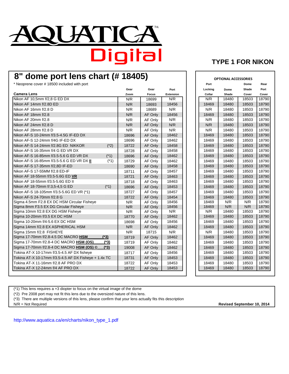

### **8" dome port lens chart (# 18405)**

\* Neoprene cover # 18500 included with port **Port Dome Rear**

|                                                       | Gear  | Gear         | Port             | Locking | Dome  | Shade | Port  |
|-------------------------------------------------------|-------|--------------|------------------|---------|-------|-------|-------|
| <b>Camera Lens</b>                                    | Zoom  | <b>Focus</b> | <b>Extension</b> | Collar  | Shade | Cover | Cover |
| Nikon AF 10,5mm f/2,8 G ED DX                         | N/R   | 18699        | N/R              | N/R     | 18480 | 18503 | 18790 |
| Nikon AF 14mm f/2.8D ED                               | N/R   | 18693        | 18456            | 18469   | 18480 | 18503 | 18790 |
| Nikon AF 16mm f/2.8 D                                 | N/R   | 18689        | N/R              | N/R     | 18480 | 18503 | 18790 |
| Nikon AF 18mm f/2.8                                   | N/R   | AF Only      | 18456            | 18469   | 18480 | 18503 | 18790 |
| Nikon AF 20mm f/2.8                                   | N/R   | AF Only      | N/R              | N/R     | 18480 | 18503 | 18790 |
| Nikon AF 24mm f/2.8 D                                 | N/R   | AF Only      | N/R              | N/R     | 18480 | 18503 | 18790 |
| Nikon AF 28mm f/2.8 D                                 | N/R   | AF Only      | N/R              | N/R     | 18480 | 18503 | 18790 |
| Nikon AF-S 10-24mm f/3.5-4.5G IF-ED DX                | 18696 | AF Only      | 18462            | 18469   | 18480 | 18503 | 18790 |
| Nikon AF-S 12-24mm f/4G IF-ED DX                      | 18696 | AF Only      | 18462            | 18469   | 18480 | 18503 | 18790 |
| Nikon AF-S 14-24mm f/2.8G ED NIKKOR<br>$(*2)$         | 18722 | AF Only      | 18458            | 18469   | 18480 | 18503 | 18790 |
| Nikon AF-S 16-35mm f/4 G ED VR DX                     | 18728 | AF Only      | 18458            | 18469   | 18480 | 18503 | 18790 |
| Nikon AF-S 16-85mm f/3.5-5.6 G ED VR DX<br>$(*1)$     | 18696 | AF Only      | 18462            | 18469   | 18480 | 18503 | 18790 |
| Nikon AF-S 16-85mm f/3.5-5.6 G ED VR DX II<br>$(*1)$  | 18729 | AF Only      | 18462            | 18469   | 18480 | 18503 | 18790 |
| Nikon AF-S 17-35mm f/2,8D IF-ED                       | 18690 | AF Only      | 18458            | 18469   | 18480 | 18503 | 18790 |
| Nikon AF-S 17-55MM f/2.8 ED-IF                        | 18711 | AF Only      | 18457            | 18469   | 18480 | 18503 | 18790 |
| Nikon AF 18-55mm f/3.5-5.6G ED VR                     | 18721 | AF Only      | 18463            | 18469   | 18480 | 18503 | 18790 |
| Nikon AF 18-55mm f/3.5-5.6G ED II                     | 18718 | AF Only      | 18463            | 18469   | 18480 | 18503 | 18790 |
| $(*1)$<br>Nikon AF 18-70mm f/:3,5-4,5 G ED            | 18696 | AF Only      | 18453            | 18469   | 18480 | 18503 | 18790 |
| Nikon AF-S 18-105mm f/3.5-5.6G ED VR (*1)             | 18727 | AF Only      | 18457            | 18469   | 18480 | 18503 | 18790 |
| Nikon AF-S 24-70mm f/2.8 G                            | 18722 | AF Only      | 18454            | 18469   | 18480 | 18503 | 18790 |
| Sigma 4.5mm F2.8 EX DC HSM Circular Fisheye           | N/R   | AF Only      | 18456            | 18469   | N/R   | N/R   | 18790 |
| Sigma 8mm F3.5 EX DG Circular Fisheye                 | N/R   | AF Only      | 18456            | 18469   | N/R   | N/R   | 18790 |
| Sigma 10mm f/2.8 EX DG HSM Fisheye                    | N/R   | AF Only      | N/R              | N/R     | 18480 | 18503 | 18790 |
| Sigma 10-20mm f/3.5 EX DC HSM                         | 18770 | AF Only      | 18462            | 18469   | 18480 | 18503 | 18790 |
| Sigma 10-20mm f/4-5.6 EX DC HSM                       | 18698 | AF Only      | 18456            | 18469   | 18480 | 18503 | 18790 |
| Sigma 14mm f/2.8 EX ASPHERICAL HSM                    | N/R   | AF Only      | 18462            | 18469   | 18480 | 18503 | 18790 |
| Sigma 15mm f/2.8 FISHEYE                              | N/R   | 18715        | N/R              | N/R     | 18480 | 18503 | 18790 |
| Sigma 17-70mm f/2.8-4.5 DC MACRO HSM<br>$(*3)$        | 18719 | AF Only      | 18462            | 18469   | 18480 | 18503 | 18790 |
| Sigma 17-70mm f/2.8-4 DC MACRO HSM (OS)<br>$(*3)$     | 18719 | AF Only      | 18462            | 18469   | 18480 | 18503 | 18790 |
| Sigma 17-70mm f/2.8-4 DC MACRO HSM (OS) ©<br>$(*3)$   | 19008 | AF Only      | 18462            | 18469   | 18480 | 18503 | 18790 |
| Tokina AT-X 10-17mm f/3.5-4.5 AF DX fisheye           | 18717 | AF Only      | 18456            | 18469   | 18480 | 18503 | 18790 |
| Tokina AT-X 10-17mm f/3.5-4.5 AF DX Fisheye + 1.4x TC | 18731 | AF Only      | 18453            | 18469   | 18480 | 18503 | 18790 |
| Tokina AT-X 11-16mm f/2.8 AF PRO DX                   | 18722 | AF Only      | 18453            | 18469   | 18480 | 18503 | 18790 |
| Tokina AT-X 12-24mm f/4 AF PRO DX                     | 18722 | AF Only      | 18453            | 18469   | 18480 | 18503 | 18790 |

| 8405) |                |                  |  |         |                             |       |       |
|-------|----------------|------------------|--|---------|-----------------------------|-------|-------|
|       |                |                  |  |         | <b>OPTIONAL ACCESSORIES</b> |       |       |
|       |                |                  |  | Port    |                             | Dome  | Rear  |
| Gear  | Gear           | Port             |  | Locking | Dome                        | Shade | Port  |
| Zoom  | <b>Focus</b>   | <b>Extension</b> |  | Collar  | Shade                       | Cover | Cover |
| N/R   | 18699          | N/R              |  | N/R     | 18480                       | 18503 | 18790 |
| N/R   | 18693          | 18456            |  | 18469   | 18480                       | 18503 | 18790 |
| N/R   | 18689          | N/R              |  | N/R     | 18480                       | 18503 | 18790 |
| N/R   | AF Only        | 18456            |  | 18469   | 18480                       | 18503 | 18790 |
| N/R   | AF Only        | N/R              |  | N/R     | 18480                       | 18503 | 18790 |
| N/R   | AF Only        | N/R              |  | N/R     | 18480                       | 18503 | 18790 |
| N/R   | AF Only        | N/R              |  | N/R     | 18480                       | 18503 | 18790 |
| 8696  | AF Only        | 18462            |  | 18469   | 18480                       | 18503 | 18790 |
| 8696  | AF Only        | 18462            |  | 18469   | 18480                       | 18503 | 18790 |
| 8722  | AF Only        | 18458            |  | 18469   | 18480                       | 18503 | 18790 |
| 8728  | AF Only        | 18458            |  | 18469   | 18480                       | 18503 | 18790 |
| 8696  | AF Only        | 18462            |  | 18469   | 18480                       | 18503 | 18790 |
| 8729  | AF Only        | 18462            |  | 18469   | 18480                       | 18503 | 18790 |
| 8690  | AF Only        | 18458            |  | 18469   | 18480                       | 18503 | 18790 |
| 8711  | AF Only        | 18457            |  | 18469   | 18480                       | 18503 | 18790 |
| 8721  | AF Only        | 18463            |  | 18469   | 18480                       | 18503 | 18790 |
| 8718  | AF Only        | 18463            |  | 18469   | 18480                       | 18503 | 18790 |
| 8696  | AF Only        | 18453            |  | 18469   | 18480                       | 18503 | 18790 |
| 8727  | AF Only        | 18457            |  | 18469   | 18480                       | 18503 | 18790 |
| 8722  | AF Only        | 18454            |  | 18469   | 18480                       | 18503 | 18790 |
| N/R   | AF Only        | 18456            |  | 18469   | N/R                         | N/R   | 18790 |
| N/R   | AF Only        | 18456            |  | 18469   | N/R                         | N/R   | 18790 |
| N/R   | AF Only        | N/R              |  | N/R     | 18480                       | 18503 | 18790 |
| 8770  | AF Only        | 18462            |  | 18469   | 18480                       | 18503 | 18790 |
| 8698  | AF Only        | 18456            |  | 18469   | 18480                       | 18503 | 18790 |
| N/R   | AF Only        | 18462            |  | 18469   | 18480                       | 18503 | 18790 |
| N/R   | 18715          | N/R              |  | N/R     | 18480                       | 18503 | 18790 |
| 8719  | AF Only        | 18462            |  | 18469   | 18480                       | 18503 | 18790 |
| 8719  | AF Only        | 18462            |  | 18469   | 18480                       | 18503 | 18790 |
| 9008  | AF Only        | 18462            |  | 18469   | 18480                       | 18503 | 18790 |
| 8717  | AF Only        | 18456            |  | 18469   | 18480                       | 18503 | 18790 |
| 8731  | AF Only        | 18453            |  | 18469   | 18480                       | 18503 | 18790 |
| 8722  | AF Only        | 18453            |  | 18469   | 18480                       | 18503 | 18790 |
| 8722  | <b>AF Only</b> | 18453            |  | 18469   | 18480                       | 18503 | 18790 |

(\*1) This lens requires a +3 diopter to focus on the virtual image of the dome

(\*2) Pre 2008 port may not fit this lens due to the oversized nature of this lens.

(\*3) There are multiple versions of this lens, please confirm that your lens actually fits this description

N/R = Not Required **Revised September 10, 2014**

[http://www.aquatica.ca/en/charts/nikon\\_type\\_1.pdf](http://www.aquatica.ca/en/charts/nikon_type_1.pdf)

#### **TYPE 1 FOR NIKON**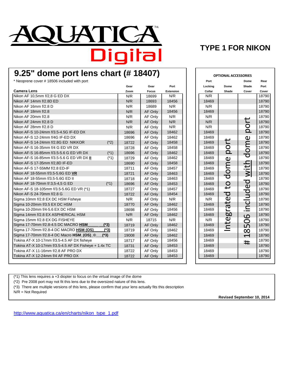

### **TYPE 1 FOR NIKON**

# **9.25" dome port lens chart (# 18407)**

\* Neoprene cover # 18506 included with port **Port Dome Rear**

|                                                       |        | Gear  | Gear    | Port      | Locking | Dome                       | Shade                    | Port  |
|-------------------------------------------------------|--------|-------|---------|-----------|---------|----------------------------|--------------------------|-------|
| <b>Camera Lens</b>                                    |        | Zoom  | Focus   | Extension | Collar  | Shade                      | Cover                    | Cover |
| Nikon AF 10,5mm f/2,8 G ED DX                         |        | N/R   | 18699   | N/R       | N/R     |                            |                          | 18790 |
| Nikon AF 14mm f/2.8D ED                               |        | N/R   | 18693   | 18456     | 18469   |                            |                          | 18790 |
| Nikon AF 16mm f/2.8 D                                 |        | N/R   | 18689   | N/R       | N/R     |                            |                          | 18790 |
| Nikon AF 18mm f/2.8                                   |        | N/R   | AF Only | 18456     | 18469   |                            |                          | 18790 |
| Nikon AF 20mm f/2.8                                   |        | N/R   | AF Only | N/R       | N/R     |                            |                          | 18790 |
| Nikon AF 24mm f/2.8 D                                 |        | N/R   | AF Only | N/R       | N/R     |                            | ゼ                        | 18790 |
| Nikon AF 28mm f/2.8 D                                 |        | N/R   | AF Only | N/R       | N/R     |                            | $\circ$                  | 18790 |
| Nikon AF-S 10-24mm f/3.5-4.5G IF-ED DX                |        | 18696 | AF Only | 18462     | 18469   |                            | $\Omega$                 | 18790 |
| Nikon AF-S 12-24mm f/4G IF-ED DX                      |        | 18696 | AF Only | 18462     | 18469   |                            | $\mathbf 0$              | 18790 |
| Nikon AF-S 14-24mm f/2.8G ED NIKKOR                   | $(*2)$ | 18722 | AF Only | 18458     | 18469   | ť                          | E                        | 18790 |
| Nikon AF-S 16-35mm f/4 G ED VR DX                     |        | 18728 | AF Only | 18458     | 18469   | $\circ$                    |                          | 18790 |
| Nikon AF-S 16-85mm f/3.5-5.6 G ED VR DX               | $(*1)$ | 18696 | AF Only | 18462     | 18469   | $\Omega$                   | $\frac{0}{0}$            | 18790 |
| Nikon AF-S 16-85mm f/3.5-5.6 G ED VR DX II            | $(*1)$ | 18729 | AF Only | 18462     | 18469   | $\mathbf{\Omega}$          |                          | 18790 |
| Nikon AF-S 17-35mm f/2,8D IF-ED                       |        | 18690 | AF Only | 18458     | 18469   | Ĕ                          |                          | 18790 |
| Nikon AF-S 17-55MM f/2.8 ED-IF                        |        | 18711 | AF Only | 18457     | 18469   |                            | with                     | 18790 |
| Nikon AF 18-55mm f/3.5-5.6G ED VR                     |        | 18721 | AF Only | 18463     | 18469   | $\bullet$                  |                          | 18790 |
| Nikon AF 18-55mm f/3.5-5.6G ED II                     |        | 18718 | AF Only | 18463     | 18469   | $\overline{\mathtt{C}}$    |                          | 18790 |
| Nikon AF 18-70mm f/:3,5-4,5 G ED                      | $(*1)$ | 18696 | AF Only | 18453     | 18469   | $\overline{c}$             | luded                    | 18790 |
| Nikon AF-S 18-105mm f/3.5-5.6G ED VR (*1)             |        | 18727 | AF Only | 18457     | 18469   |                            |                          | 18790 |
| Nikon AF-S 24-70mm f/2.8 G                            |        | 18722 | AF Only | 18454     | 18469   | ਹ                          |                          | 18790 |
| Sigma 10mm f/2.8 EX DC HSM Fisheve                    |        | N/R   | AF Only | N/R       | N/R     | $\mathbf \omega$           |                          | 18790 |
| Sigma 10-20mm f/3.5 EX DC HSM                         |        | 18770 | AF Only | 18462     | 18469   | ↩<br>$\boldsymbol{\sigma}$ | incl                     | 18790 |
| Sigma 10-20mm f/4-5.6 EX DC HSM                       |        | 18698 | AF Only | 18456     | 18469   | حك                         |                          | 18790 |
| Sigma 14mm f/2.8 EX ASPHERICAL HSM                    |        | N/R   | AF Only | 18462     | 18469   | g                          | $\overline{Q}$           | 18790 |
| Sigma 15mm f/2.8 EX DG FISHEYE                        |        | N/R   | 18715   | N/R       | N/R     | nte                        | Ō                        | 18790 |
| Sigma 17-70mm f/2.8-4.5 DC MACRO HSM                  | $(*3)$ | 18719 | AF Only | 18462     | 18469   |                            | ഥ                        | 18790 |
| Sigma 17-70mm f/2.8-4 DC MACRO HSM (OS)               | $(*3)$ | 18719 | AF Only | 18462     | 18469   |                            | $\infty$                 | 18790 |
| Sigma 17-70mm f/2.8-4 DC Macro HSM_(OS) ©             | $(*3)$ | 19008 | AF Only | 18462     | 18469   |                            | $\overline{\phantom{0}}$ | 18790 |
| Tokina AT-X 10-17mm f/3.5-4.5 AF DX fisheye           |        | 18717 | AF Only | 18456     | 18469   |                            | #                        | 18790 |
| Tokina AT-X 10-17mm f/3.5-4.5 AF DX Fisheye + 1.4x TC |        | 18731 | AF Only | 18453     | 18469   |                            |                          | 18790 |
| Tokina AT-X 11-16mm f/2.8 AF PRO DX                   |        | 18722 | AF Only | 18453     | 18469   |                            |                          | 18790 |
| Tokina AT-X 12-24mm f/4 AF PRO DX                     |        | 18722 | AF Only | 18453     | 18469   |                            |                          | 18790 |

|      | # 18407)     |                  | <b>OPTIONAL ACCESSORIES</b> |         |                  |                |       |
|------|--------------|------------------|-----------------------------|---------|------------------|----------------|-------|
|      |              |                  |                             | Port    |                  | Dome           | Rear  |
| Gear | Gear         | Port             |                             | Locking | Dome             | Shade          | Port  |
| Zoom | <b>Focus</b> | <b>Extension</b> |                             | Collar  | Shade            | Cover          | Cover |
| N/R  | 18699        | N/R              |                             | N/R     |                  |                | 18790 |
| N/R  | 18693        | 18456            |                             | 18469   |                  |                | 18790 |
| N/R  | 18689        | N/R              |                             | N/R     |                  |                | 18790 |
| N/R  | AF Only      | 18456            |                             | 18469   |                  |                | 18790 |
| N/R  | AF Only      | N/R              |                             | N/R     |                  |                | 18790 |
| N/R  | AF Only      | N/R              |                             | N/R     |                  |                | 18790 |
| N/R  | AF Only      | N/R              |                             | N/R     |                  | port           | 18790 |
| 8696 | AF Only      | 18462            |                             | 18469   |                  |                | 18790 |
| 8696 | AF Only      | 18462            |                             | 18469   |                  |                | 18790 |
| 8722 | AF Only      | 18458            |                             | 18469   |                  |                | 18790 |
| 8728 | AF Only      | 18458            |                             | 18469   |                  |                | 18790 |
| 8696 | AF Only      | 18462            |                             | 18469   | port             | dome           | 18790 |
| 8729 | AF Only      | 18462            |                             | 18469   |                  |                | 18790 |
| 8690 | AF Only      | 18458            |                             | 18469   |                  |                | 18790 |
| 8711 | AF Only      | 18457            |                             | 18469   | dome             | with           | 18790 |
| 8721 | AF Only      | 18463            |                             | 18469   |                  |                | 18790 |
| 8718 | AF Only      | 18463            |                             | 18469   |                  |                | 18790 |
| 8696 | AF Only      | 18453            |                             | 18469   | $\overline{C}$   |                | 18790 |
| 8727 | AF Only      | 18457            |                             | 18469   |                  |                | 18790 |
| 8722 | AF Only      | 18454            |                             | 18469   | d<br>e           |                | 18790 |
| N/R  | AF Only      | N/R              |                             | N/R     |                  |                | 18790 |
| 8770 | AF Only      | 18462            |                             | 18469   | ى<br>σ           |                | 18790 |
| 8698 | AF Only      | 18456            |                             | 18469   | ے                |                | 18790 |
| N/R  | AF Only      | 18462            |                             | 18469   | 5                |                | 18790 |
| N/R  | 18715        | N/R              |                             | N/R     | $\mathbf \omega$ |                | 18790 |
| 8719 | AF Only      | 18462            |                             | 18469   | Int              | 18506 included | 18790 |
| 8719 | AF Only      | 18462            |                             | 18469   |                  |                | 18790 |
| 9008 | AF Only      | 18462            |                             | 18469   |                  |                | 18790 |
| 8717 | AF Only      | 18456            |                             | 18469   |                  | #              | 18790 |
| 8731 | AF Only      | 18453            |                             | 18469   |                  |                | 18790 |
| 8722 | AF Only      | 18453            |                             | 18469   |                  |                | 18790 |
| 8722 | AF Only      | 18453            |                             | 18469   |                  |                | 18790 |

(\*1) This lens requires a +3 diopter to focus on the virtual image of the dome

(\*2) Pre 2008 port may not fit this lens due to the oversized nature of this lens.

(\*3) There are multiple versions of this lens, please confirm that your lens actually fits this description

N/R = Not Required

**Revised September 10, 2014**

[http://www.aquatica.ca/en/charts/nikon\\_type\\_1.pdf](http://www.aquatica.ca/en/charts/nikon_type_1.pdf)